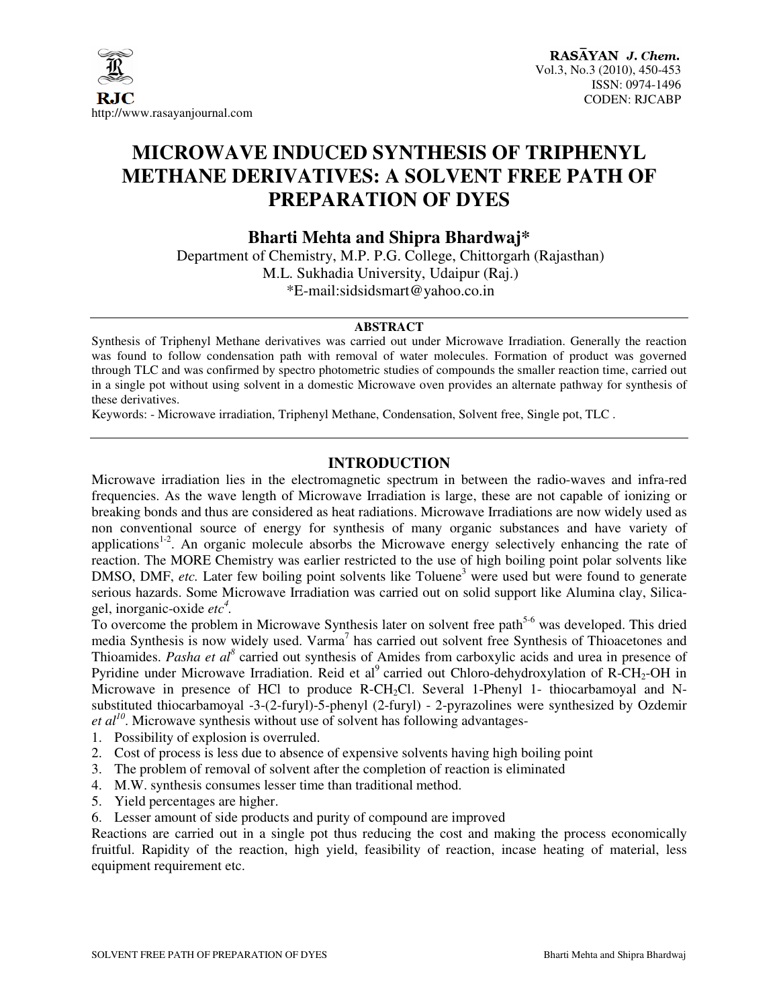

# **MICROWAVE INDUCED SYNTHESIS OF TRIPHENYL METHANE DERIVATIVES: A SOLVENT FREE PATH OF PREPARATION OF DYES**

**Bharti Mehta and Shipra Bhardwaj\*** 

Department of Chemistry, M.P. P.G. College, Chittorgarh (Rajasthan) M.L. Sukhadia University, Udaipur (Raj.) \*E-mail:sidsidsmart@yahoo.co.in

#### **ABSTRACT**

Synthesis of Triphenyl Methane derivatives was carried out under Microwave Irradiation. Generally the reaction was found to follow condensation path with removal of water molecules. Formation of product was governed through TLC and was confirmed by spectro photometric studies of compounds the smaller reaction time, carried out in a single pot without using solvent in a domestic Microwave oven provides an alternate pathway for synthesis of these derivatives.

Keywords: - Microwave irradiation, Triphenyl Methane, Condensation, Solvent free, Single pot, TLC .

## **INTRODUCTION**

Microwave irradiation lies in the electromagnetic spectrum in between the radio-waves and infra-red frequencies. As the wave length of Microwave Irradiation is large, these are not capable of ionizing or breaking bonds and thus are considered as heat radiations. Microwave Irradiations are now widely used as non conventional source of energy for synthesis of many organic substances and have variety of applications<sup>1-2</sup>. An organic molecule absorbs the Microwave energy selectively enhancing the rate of reaction. The MORE Chemistry was earlier restricted to the use of high boiling point polar solvents like DMSO, DMF, *etc*. Later few boiling point solvents like Toluene<sup>3</sup> were used but were found to generate serious hazards. Some Microwave Irradiation was carried out on solid support like Alumina clay, Silicagel, inorganic-oxide *etc<sup>4</sup> .*

To overcome the problem in Microwave Synthesis later on solvent free path<sup>5-6</sup> was developed. This dried media Synthesis is now widely used. Varma<sup>7</sup> has carried out solvent free Synthesis of Thioacetones and Thioamides. Pasha et al<sup>8</sup> carried out synthesis of Amides from carboxylic acids and urea in presence of Pyridine under Microwave Irradiation. Reid et al<sup>9</sup> carried out Chloro-dehydroxylation of R-CH<sub>2</sub>-OH in Microwave in presence of HCl to produce R-CH<sub>2</sub>Cl. Several 1-Phenyl 1- thiocarbamoyal and Nsubstituted thiocarbamoyal -3-(2-furyl)-5-phenyl (2-furyl) - 2-pyrazolines were synthesized by Ozdemir *et*  $al^{10}$ *.* Microwave synthesis without use of solvent has following advantages-

- 1. Possibility of explosion is overruled.
- 2. Cost of process is less due to absence of expensive solvents having high boiling point
- 3. The problem of removal of solvent after the completion of reaction is eliminated
- 4. M.W. synthesis consumes lesser time than traditional method.
- 5. Yield percentages are higher.
- 6. Lesser amount of side products and purity of compound are improved

Reactions are carried out in a single pot thus reducing the cost and making the process economically fruitful. Rapidity of the reaction, high yield, feasibility of reaction, incase heating of material, less equipment requirement etc.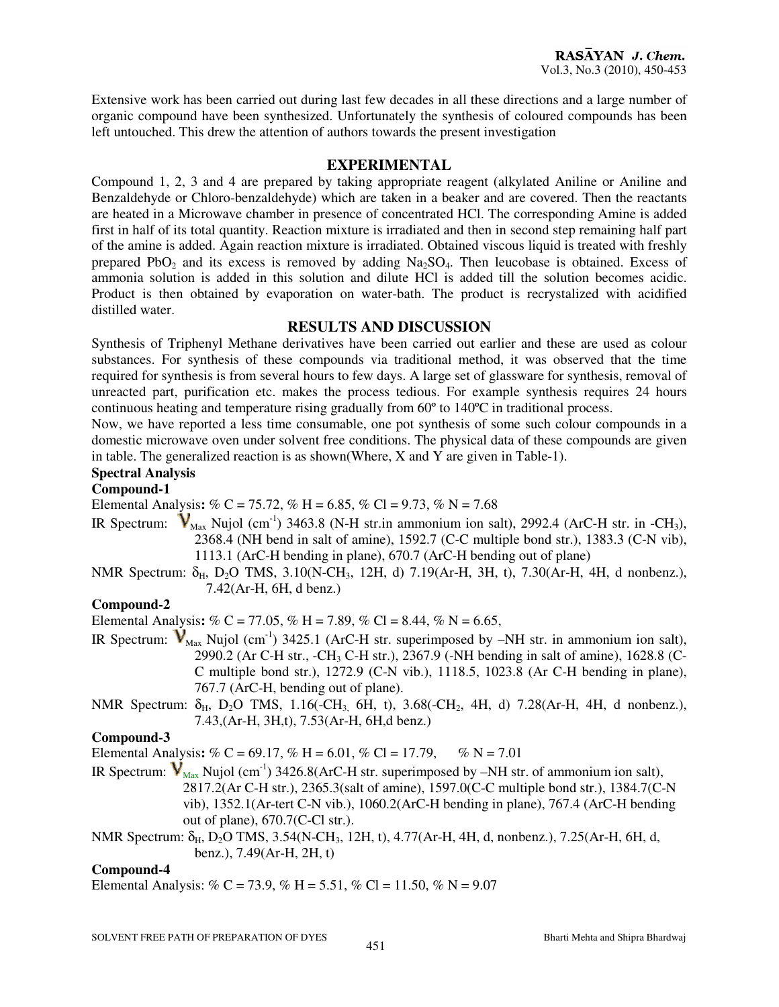Extensive work has been carried out during last few decades in all these directions and a large number of organic compound have been synthesized. Unfortunately the synthesis of coloured compounds has been left untouched. This drew the attention of authors towards the present investigation

#### **EXPERIMENTAL**

Compound 1, 2, 3 and 4 are prepared by taking appropriate reagent (alkylated Aniline or Aniline and Benzaldehyde or Chloro-benzaldehyde) which are taken in a beaker and are covered. Then the reactants are heated in a Microwave chamber in presence of concentrated HCl. The corresponding Amine is added first in half of its total quantity. Reaction mixture is irradiated and then in second step remaining half part of the amine is added. Again reaction mixture is irradiated. Obtained viscous liquid is treated with freshly prepared PbO<sub>2</sub> and its excess is removed by adding  $Na<sub>2</sub>SO<sub>4</sub>$ . Then leucobase is obtained. Excess of ammonia solution is added in this solution and dilute HCl is added till the solution becomes acidic. Product is then obtained by evaporation on water-bath. The product is recrystalized with acidified distilled water.

#### **RESULTS AND DISCUSSION**

Synthesis of Triphenyl Methane derivatives have been carried out earlier and these are used as colour substances. For synthesis of these compounds via traditional method, it was observed that the time required for synthesis is from several hours to few days. A large set of glassware for synthesis, removal of unreacted part, purification etc. makes the process tedious. For example synthesis requires 24 hours continuous heating and temperature rising gradually from 60º to 140ºC in traditional process.

Now, we have reported a less time consumable, one pot synthesis of some such colour compounds in a domestic microwave oven under solvent free conditions. The physical data of these compounds are given in table. The generalized reaction is as shown(Where, X and Y are given in Table-1).

## **Spectral Analysis**

### **Compound-1**

Elemental Analysis:  $\% C = 75.72$ ,  $\% H = 6.85$ ,  $\% Cl = 9.73$ ,  $\% N = 7.68$ 

- IR Spectrum:  $V_{\text{Max}}$  Nujol (cm<sup>-1</sup>) 3463.8 (N-H str.in ammonium ion salt), 2992.4 (ArC-H str. in -CH<sub>3</sub>), 2368.4 (NH bend in salt of amine), 1592.7 (C-C multiple bond str.), 1383.3 (C-N vib), 1113.1 (ArC-H bending in plane), 670.7 (ArC-H bending out of plane)
- NMR Spectrum:  $\delta_{H}$ , D<sub>2</sub>O TMS, 3.10(N-CH<sub>3</sub>, 12H, d) 7.19(Ar-H, 3H, t), 7.30(Ar-H, 4H, d nonbenz.). 7.42(Ar-H, 6H, d benz.)

#### **Compound-2**

Elemental Analysis**:** % C = 77.05, % H = 7.89, % Cl = 8.44, % N = 6.65,

- IR Spectrum:  $V_{\text{Max}}$  Nujol (cm<sup>-1</sup>) 3425.1 (ArC-H str. superimposed by –NH str. in ammonium ion salt), 2990.2 (Ar C-H str., -CH3 C-H str.), 2367.9 (-NH bending in salt of amine), 1628.8 (C-C multiple bond str.), 1272.9 (C-N vib.), 1118.5, 1023.8 (Ar C-H bending in plane), 767.7 (ArC-H, bending out of plane).
- NMR Spectrum:  $\delta_{H}$ , D<sub>2</sub>O TMS, 1.16(-CH<sub>3,</sub> 6H, t), 3.68(-CH<sub>2</sub>, 4H, d) 7.28(Ar-H, 4H, d nonbenz.), 7.43,(Ar-H, 3H,t), 7.53(Ar-H, 6H,d benz.)

### **Compound-3**

Elemental Analysis:  $\% C = 69.17$ ,  $\% H = 6.01$ ,  $\% Cl = 17.79$ ,  $\% N = 7.01$ 

- IR Spectrum:  $V_{\text{Max}}$  Nujol (cm<sup>-1</sup>) 3426.8(ArC-H str. superimposed by –NH str. of ammonium ion salt), 2817.2(Ar C-H str.), 2365.3(salt of amine), 1597.0(C-C multiple bond str.), 1384.7(C-N vib), 1352.1(Ar-tert C-N vib.), 1060.2(ArC-H bending in plane), 767.4 (ArC-H bending out of plane), 670.7(C-Cl str.).
- NMR Spectrum:  $\delta_H$ , D<sub>2</sub>O TMS, 3.54(N-CH<sub>3</sub>, 12H, t), 4.77(Ar-H, 4H, d, nonbenz.), 7.25(Ar-H, 6H, d, benz.), 7.49(Ar-H, 2H, t)

#### **Compound-4**

Elemental Analysis:  $\% C = 73.9$ ,  $\% H = 5.51$ ,  $\% Cl = 11.50$ ,  $\% N = 9.07$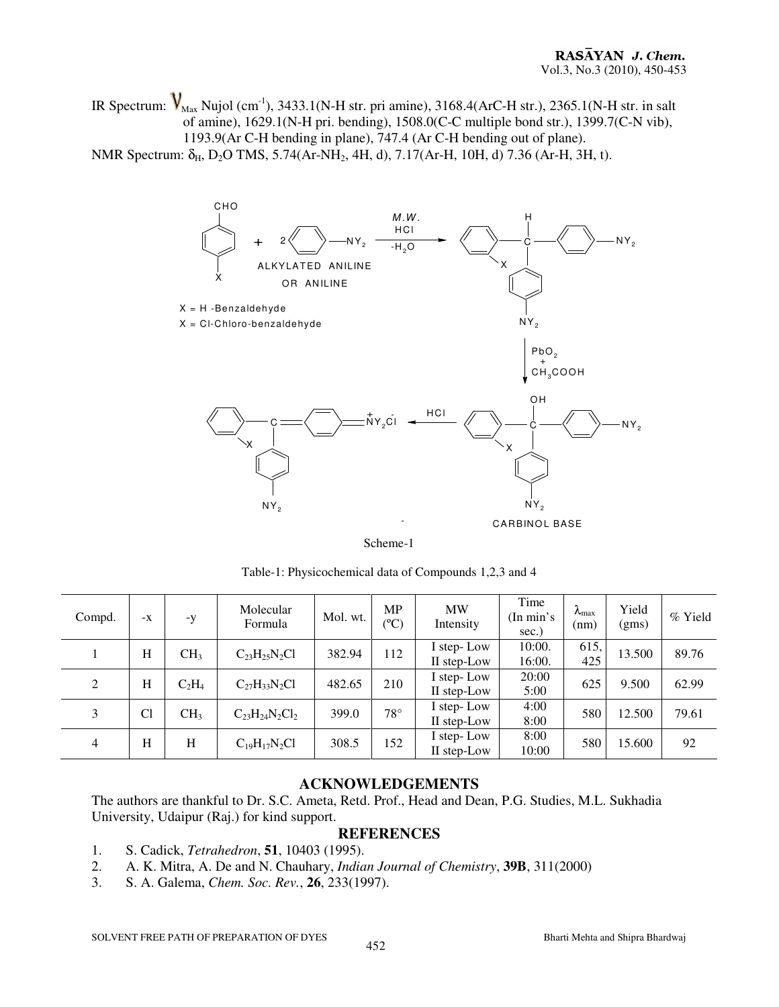IR Spectrum:  $V_{\text{Max}}$  Nujol (cm<sup>-1</sup>), 3433.1(N-H str. pri amine), 3168.4(ArC-H str.), 2365.1(N-H str. in salt of amine), 1629.1(N-H pri. bending), 1508.0(C-C multiple bond str.), 1399.7(C-N vib), 1193.9(Ar C-H bending in plane), 747.4 (Ar C-H bending out of plane). NMR Spectrum:  $\delta_{H}$ , D<sub>2</sub>O TMS, 5.74(Ar-NH<sub>2</sub>, 4H, d), 7.17(Ar-H, 10H, d) 7.36 (Ar-H, 3H, t).





| Compd.         | $-X$ | $-y$            | Molecular<br>Formula  | Mol. wt. | <b>MP</b><br>$(^{\circ}C)$ | <b>MW</b><br>Intensity    | Time<br>(In min's<br>sec.) | $\lambda_{\text{max}}$<br>(nm) | Yield<br>(gms) | $%$ Yield |
|----------------|------|-----------------|-----------------------|----------|----------------------------|---------------------------|----------------------------|--------------------------------|----------------|-----------|
|                | H    | CH <sub>3</sub> | $C_{23}H_{25}N_2Cl$   | 382.94   | 112                        | I step-Low<br>II step-Low | 10:00.<br>16:00.           | 615,<br>425                    | 13.500         | 89.76     |
| 2              | H    | $C_2H_4$        | $C_{27}H_{33}N_2Cl$   | 482.65   | 210                        | I step-Low<br>II step-Low | 20:00<br>5:00              | 625                            | 9.500          | 62.99     |
| 3              | Cl   | CH <sub>3</sub> | $C_{23}H_{24}N_2Cl_2$ | 399.0    | $78^{\circ}$               | I step-Low<br>II step-Low | 4:00<br>8:00               | 580                            | 12.500         | 79.61     |
| $\overline{4}$ | H    | H               | $C_{19}H_{17}N_2Cl$   | 308.5    | 152                        | I step-Low<br>II step-Low | 8:00<br>10:00              | 580                            | 15.600         | 92        |

Table-1: Physicochemical data of Compounds 1,2,3 and 4

#### **ACKNOWLEDGEMENTS**

The authors are thankful to Dr. S.C. Ameta, Retd. Prof., Head and Dean, P.G. Studies, M.L. Sukhadia University, Udaipur (Raj.) for kind support.

#### **REFERENCES**

- 1. S. Cadick, *Tetrahedron*, **51**, 10403 (1995).
- 2. A. K. Mitra, A. De and N. Chauhary, *Indian Journal of Chemistry*, **39B**, 311(2000)
- 3. S. A. Galema, *Chem. Soc. Rev.*, **26**, 233(1997).